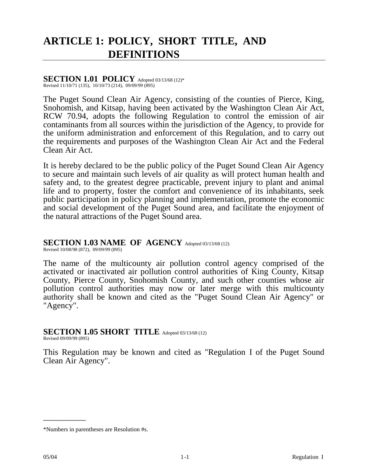# **ARTICLE 1: POLICY, SHORT TITLE, AND DEFINITIONS**

#### **SECTION 1.01 POLICY** Adopted 03/13/68 (12)\*

Revised 11/10/71 (135), 10/10/73 (214), 09/09/99 (895)

The Puget Sound Clean Air Agency, consisting of the counties of Pierce, King, Snohomish, and Kitsap, having been activated by the Washington Clean Air Act, RCW 70.94, adopts the following Regulation to control the emission of air contaminants from all sources within the jurisdiction of the Agency, to provide for the uniform administration and enforcement of this Regulation, and to carry out the requirements and purposes of the Washington Clean Air Act and the Federal Clean Air Act.

It is hereby declared to be the public policy of the Puget Sound Clean Air Agency to secure and maintain such levels of air quality as will protect human health and safety and, to the greatest degree practicable, prevent injury to plant and animal life and to property, foster the comfort and convenience of its inhabitants, seek public participation in policy planning and implementation, promote the economic and social development of the Puget Sound area, and facilitate the enjoyment of the natural attractions of the Puget Sound area.

## **SECTION 1.03 NAME OF AGENCY** Adopted 03/13/68 (12)

Revised 10/08/98 (872), 09/09/99 (895)

The name of the multicounty air pollution control agency comprised of the activated or inactivated air pollution control authorities of King County, Kitsap County, Pierce County, Snohomish County, and such other counties whose air pollution control authorities may now or later merge with this multicounty authority shall be known and cited as the "Puget Sound Clean Air Agency" or "Agency".

## **SECTION 1.05 SHORT TITLE** Adopted 03/13/68 (12)

Revised 09/09/99 (895)

\_\_\_\_\_\_\_\_\_\_

This Regulation may be known and cited as "Regulation I of the Puget Sound Clean Air Agency".

<sup>\*</sup>Numbers in parentheses are Resolution #s.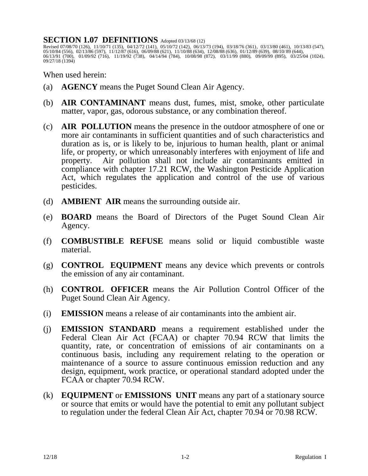### SECTION 1.07 DEFINITIONS Adopted 03/13/68 (12)

Revised 07/08/70 (126), 11/10/71 (135), 04/12/72 (141), 05/10/72 (142), 06/13/73 (194), 03/18/76 (361), 03/13/80 (461), 10/13/83 (547), 05/10/84 (556), 02/13/86 (597), 11/12/87 (616), 06/09/88 (621), 11/10/88 (634), 12/08/88 (636), 01/12/89 (639), 08/10/ 89 (644), 06/13/91 (700), 01/09/92 (716), 11/19/92 (738), 04/14/94 (784), 10/08/98 (872), 03/11/99 (880), 09/09/99 (895), 03/25/04 (1024), 09/27/18 (1394)

When used herein:

- (a) **AGENCY** means the Puget Sound Clean Air Agency.
- (b) **AIR CONTAMINANT** means dust, fumes, mist, smoke, other particulate matter, vapor, gas, odorous substance, or any combination thereof.
- (c) **AIR POLLUTION** means the presence in the outdoor atmosphere of one or more air contaminants in sufficient quantities and of such characteristics and duration as is, or is likely to be, injurious to human health, plant or animal life, or property, or which unreasonably interferes with enjoyment of life and property. Air pollution shall not include air contaminants emitted in compliance with chapter 17.21 RCW, the Washington Pesticide Application Act, which regulates the application and control of the use of various pesticides.
- (d) **AMBIENT AIR** means the surrounding outside air.
- (e) **BOARD** means the Board of Directors of the Puget Sound Clean Air Agency.
- (f) **COMBUSTIBLE REFUSE** means solid or liquid combustible waste material.
- (g) **CONTROL EQUIPMENT** means any device which prevents or controls the emission of any air contaminant.
- (h) **CONTROL OFFICER** means the Air Pollution Control Officer of the Puget Sound Clean Air Agency.
- (i) **EMISSION** means a release of air contaminants into the ambient air.
- (j) **EMISSION STANDARD** means a requirement established under the Federal Clean Air Act (FCAA) or chapter 70.94 RCW that limits the quantity, rate, or concentration of emissions of air contaminants on a continuous basis, including any requirement relating to the operation or maintenance of a source to assure continuous emission reduction and any design, equipment, work practice, or operational standard adopted under the FCAA or chapter 70.94 RCW.
- (k) **EQUIPMENT** or **EMISSIONS UNIT** means any part of a stationary source or source that emits or would have the potential to emit any pollutant subject to regulation under the federal Clean Air Act, chapter 70.94 or 70.98 RCW.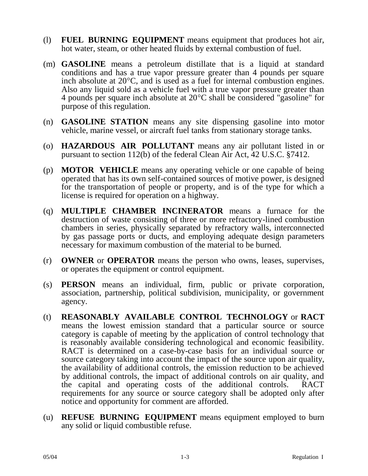- (l) **FUEL BURNING EQUIPMENT** means equipment that produces hot air, hot water, steam, or other heated fluids by external combustion of fuel.
- (m) **GASOLINE** means a petroleum distillate that is a liquid at standard conditions and has a true vapor pressure greater than 4 pounds per square inch absolute at  $20^{\circ}$ C, and is used as a fuel for internal combustion engines. Also any liquid sold as a vehicle fuel with a true vapor pressure greater than 4 pounds per square inch absolute at  $20^{\circ}$ C shall be considered "gasoline" for purpose of this regulation.
- (n) **GASOLINE STATION** means any site dispensing gasoline into motor vehicle, marine vessel, or aircraft fuel tanks from stationary storage tanks.
- (o) **HAZARDOUS AIR POLLUTANT** means any air pollutant listed in or pursuant to section 112(b) of the federal Clean Air Act, 42 U.S.C. §7412.
- (p) **MOTOR VEHICLE** means any operating vehicle or one capable of being operated that has its own self-contained sources of motive power, is designed for the transportation of people or property, and is of the type for which a license is required for operation on a highway.
- (q) **MULTIPLE CHAMBER INCINERATOR** means a furnace for the destruction of waste consisting of three or more refractory-lined combustion chambers in series, physically separated by refractory walls, interconnected by gas passage ports or ducts, and employing adequate design parameters necessary for maximum combustion of the material to be burned.
- (r) **OWNER** or **OPERATOR** means the person who owns, leases, supervises, or operates the equipment or control equipment.
- (s) **PERSON** means an individual, firm, public or private corporation, association, partnership, political subdivision, municipality, or government agency.
- (t) **REASONABLY AVAILABLE CONTROL TECHNOLOGY** or **RACT** means the lowest emission standard that a particular source or source category is capable of meeting by the application of control technology that is reasonably available considering technological and economic feasibility. RACT is determined on a case-by-case basis for an individual source or source category taking into account the impact of the source upon air quality, the availability of additional controls, the emission reduction to be achieved by additional controls, the impact of additional controls on air quality, and the capital and operating costs of the additional controls. RACT requirements for any source or source category shall be adopted only after notice and opportunity for comment are afforded.
- (u) **REFUSE BURNING EQUIPMENT** means equipment employed to burn any solid or liquid combustible refuse.